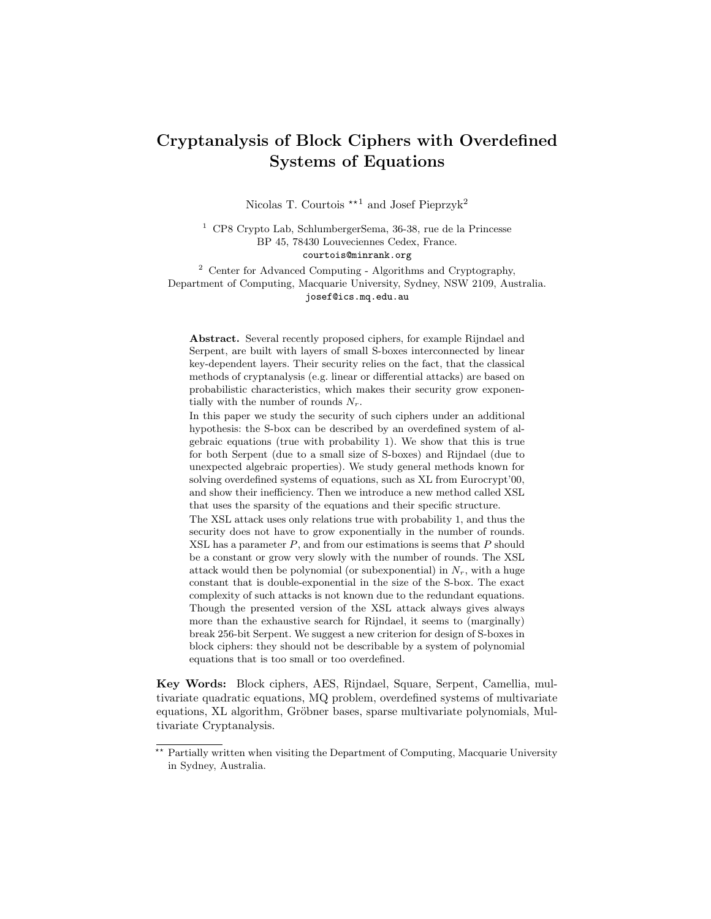# Cryptanalysis of Block Ciphers with Overdefined Systems of Equations

Nicolas T. Courtois  $\star$ <sup>1</sup> and Josef Pieprzyk<sup>2</sup>

<sup>1</sup> CP8 Crypto Lab, SchlumbergerSema, 36-38, rue de la Princesse BP 45, 78430 Louveciennes Cedex, France. courtois@minrank.org

<sup>2</sup> Center for Advanced Computing - Algorithms and Cryptography, Department of Computing, Macquarie University, Sydney, NSW 2109, Australia. josef@ics.mq.edu.au

Abstract. Several recently proposed ciphers, for example Rijndael and Serpent, are built with layers of small S-boxes interconnected by linear key-dependent layers. Their security relies on the fact, that the classical methods of cryptanalysis (e.g. linear or differential attacks) are based on probabilistic characteristics, which makes their security grow exponentially with the number of rounds  $N_r$ .

In this paper we study the security of such ciphers under an additional hypothesis: the S-box can be described by an overdefined system of algebraic equations (true with probability 1). We show that this is true for both Serpent (due to a small size of S-boxes) and Rijndael (due to unexpected algebraic properties). We study general methods known for solving overdefined systems of equations, such as XL from Eurocrypt'00, and show their inefficiency. Then we introduce a new method called XSL that uses the sparsity of the equations and their specific structure.

The XSL attack uses only relations true with probability 1, and thus the security does not have to grow exponentially in the number of rounds.  $XSL$  has a parameter  $P$ , and from our estimations is seems that  $P$  should be a constant or grow very slowly with the number of rounds. The XSL attack would then be polynomial (or subexponential) in  $N_r$ , with a huge constant that is double-exponential in the size of the S-box. The exact complexity of such attacks is not known due to the redundant equations. Though the presented version of the XSL attack always gives always more than the exhaustive search for Rijndael, it seems to (marginally) break 256-bit Serpent. We suggest a new criterion for design of S-boxes in block ciphers: they should not be describable by a system of polynomial equations that is too small or too overdefined.

Key Words: Block ciphers, AES, Rijndael, Square, Serpent, Camellia, multivariate quadratic equations, MQ problem, overdefined systems of multivariate equations, XL algorithm, Gröbner bases, sparse multivariate polynomials, Multivariate Cryptanalysis.

<sup>\*\*</sup> Partially written when visiting the Department of Computing, Macquarie University in Sydney, Australia.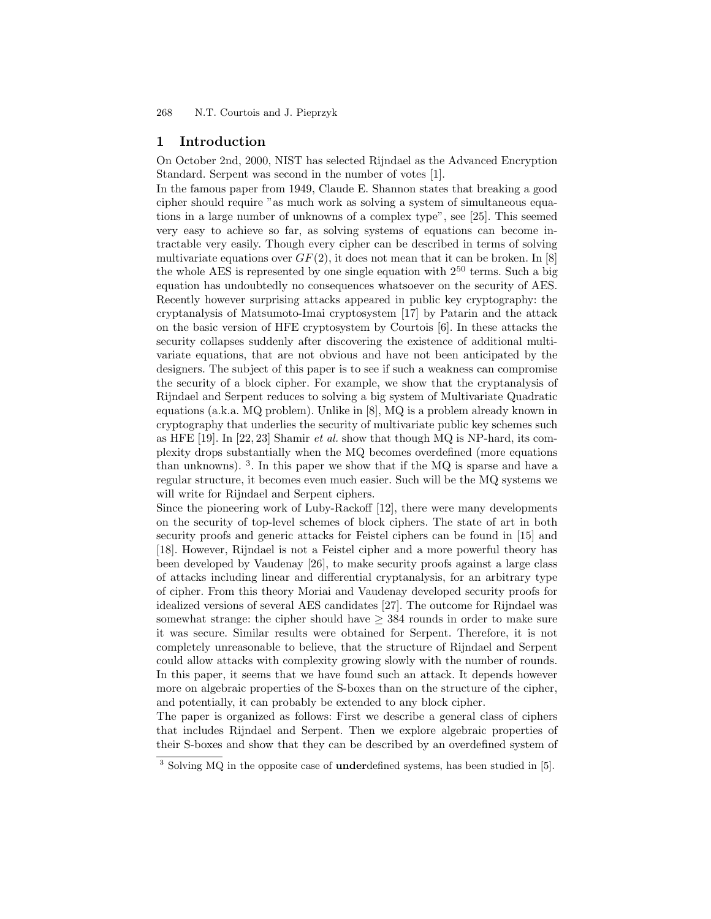## 1 Introduction

On October 2nd, 2000, NIST has selected Rijndael as the Advanced Encryption Standard. Serpent was second in the number of votes [1].

In the famous paper from 1949, Claude E. Shannon states that breaking a good cipher should require "as much work as solving a system of simultaneous equations in a large number of unknowns of a complex type", see [25]. This seemed very easy to achieve so far, as solving systems of equations can become intractable very easily. Though every cipher can be described in terms of solving multivariate equations over  $GF(2)$ , it does not mean that it can be broken. In [8] the whole AES is represented by one single equation with  $2^{50}$  terms. Such a big equation has undoubtedly no consequences whatsoever on the security of AES. Recently however surprising attacks appeared in public key cryptography: the cryptanalysis of Matsumoto-Imai cryptosystem [17] by Patarin and the attack on the basic version of HFE cryptosystem by Courtois [6]. In these attacks the security collapses suddenly after discovering the existence of additional multivariate equations, that are not obvious and have not been anticipated by the designers. The subject of this paper is to see if such a weakness can compromise the security of a block cipher. For example, we show that the cryptanalysis of Rijndael and Serpent reduces to solving a big system of Multivariate Quadratic equations (a.k.a. MQ problem). Unlike in [8], MQ is a problem already known in cryptography that underlies the security of multivariate public key schemes such as HFE [19]. In [22, 23] Shamir et al. show that though MQ is NP-hard, its complexity drops substantially when the MQ becomes overdefined (more equations than unknowns). <sup>3</sup> . In this paper we show that if the MQ is sparse and have a regular structure, it becomes even much easier. Such will be the MQ systems we will write for Rijndael and Serpent ciphers.

Since the pioneering work of Luby-Rackoff [12], there were many developments on the security of top-level schemes of block ciphers. The state of art in both security proofs and generic attacks for Feistel ciphers can be found in [15] and [18]. However, Rijndael is not a Feistel cipher and a more powerful theory has been developed by Vaudenay [26], to make security proofs against a large class of attacks including linear and differential cryptanalysis, for an arbitrary type of cipher. From this theory Moriai and Vaudenay developed security proofs for idealized versions of several AES candidates [27]. The outcome for Rijndael was somewhat strange: the cipher should have  $\geq$  384 rounds in order to make sure it was secure. Similar results were obtained for Serpent. Therefore, it is not completely unreasonable to believe, that the structure of Rijndael and Serpent could allow attacks with complexity growing slowly with the number of rounds. In this paper, it seems that we have found such an attack. It depends however more on algebraic properties of the S-boxes than on the structure of the cipher, and potentially, it can probably be extended to any block cipher.

The paper is organized as follows: First we describe a general class of ciphers that includes Rijndael and Serpent. Then we explore algebraic properties of their S-boxes and show that they can be described by an overdefined system of

 $\frac{3}{3}$  Solving MQ in the opposite case of **under**defined systems, has been studied in [5].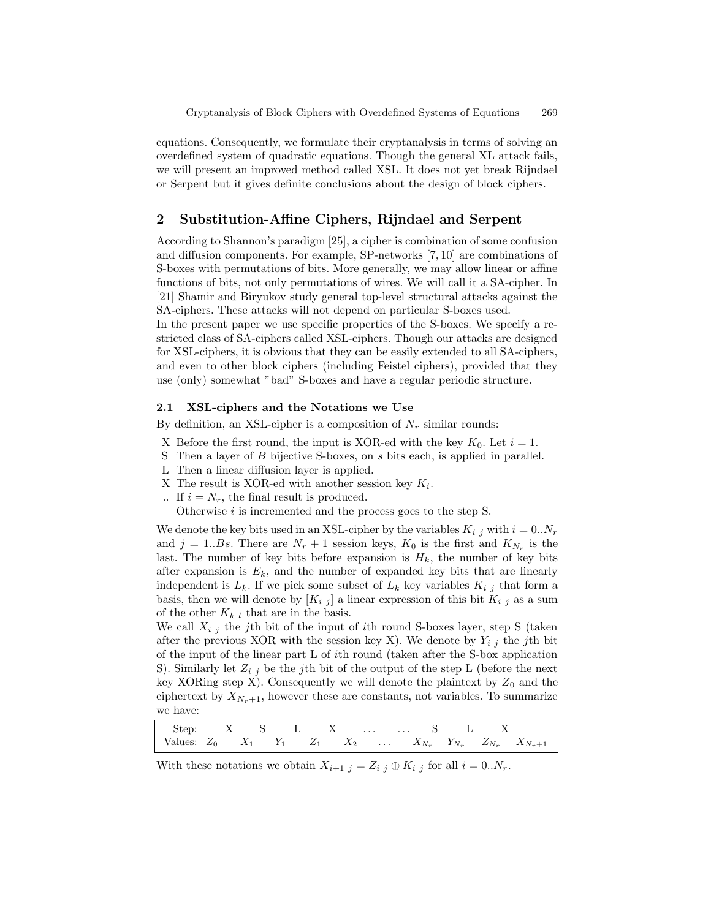equations. Consequently, we formulate their cryptanalysis in terms of solving an overdefined system of quadratic equations. Though the general XL attack fails, we will present an improved method called XSL. It does not yet break Rijndael or Serpent but it gives definite conclusions about the design of block ciphers.

# 2 Substitution-Affine Ciphers, Rijndael and Serpent

According to Shannon's paradigm [25], a cipher is combination of some confusion and diffusion components. For example, SP-networks [7, 10] are combinations of S-boxes with permutations of bits. More generally, we may allow linear or affine functions of bits, not only permutations of wires. We will call it a SA-cipher. In [21] Shamir and Biryukov study general top-level structural attacks against the SA-ciphers. These attacks will not depend on particular S-boxes used.

In the present paper we use specific properties of the S-boxes. We specify a restricted class of SA-ciphers called XSL-ciphers. Though our attacks are designed for XSL-ciphers, it is obvious that they can be easily extended to all SA-ciphers, and even to other block ciphers (including Feistel ciphers), provided that they use (only) somewhat "bad" S-boxes and have a regular periodic structure.

## 2.1 XSL-ciphers and the Notations we Use

By definition, an XSL-cipher is a composition of  $N_r$  similar rounds:

- X Before the first round, the input is XOR-ed with the key  $K_0$ . Let  $i = 1$ .
- S Then a layer of B bijective S-boxes, on s bits each, is applied in parallel.
- L Then a linear diffusion layer is applied.
- X The result is XOR-ed with another session key  $K_i$ .
- .. If  $i = N_r$ , the final result is produced.
	- Otherwise *i* is incremented and the process goes to the step S.

We denote the key bits used in an XSL-cipher by the variables  $K_{i,j}$  with  $i = 0..N_r$ and  $j = 1..Bs$ . There are  $N_r + 1$  session keys,  $K_0$  is the first and  $K_{N_r}$  is the last. The number of key bits before expansion is  $H_k$ , the number of key bits after expansion is  $E_k$ , and the number of expanded key bits that are linearly independent is  $L_k$ . If we pick some subset of  $L_k$  key variables  $K_{i,j}$  that form a basis, then we will denote by  $[K_{i,j}]$  a linear expression of this bit  $K_{i,j}$  as a sum of the other  $K_{k,l}$  that are in the basis.

We call  $X_{i,j}$  the j<sup>th</sup> bit of the input of *i*th round S-boxes layer, step S (taken after the previous XOR with the session key X). We denote by  $Y_{i,j}$  the jth bit of the input of the linear part L of ith round (taken after the S-box application S). Similarly let  $Z_{i,j}$  be the j<sup>th</sup> bit of the output of the step L (before the next key XORing step X). Consequently we will denote the plaintext by  $Z_0$  and the ciphertext by  $X_{N_r+1}$ , however these are constants, not variables. To summarize we have:

| Step: X S L X   S L X |  |  |  |  |  |  |                                                                                 |
|-----------------------|--|--|--|--|--|--|---------------------------------------------------------------------------------|
|                       |  |  |  |  |  |  | Values: $Z_0$ $X_1$ $Y_1$ $Z_1$ $X_2$ $X_{N_r}$ $Y_{N_r}$ $Z_{N_r}$ $X_{N_r+1}$ |

With these notations we obtain  $X_{i+1}$   $_j = Z_{i}$   $_j \oplus K_{i}$  for all  $i = 0..N_r$ .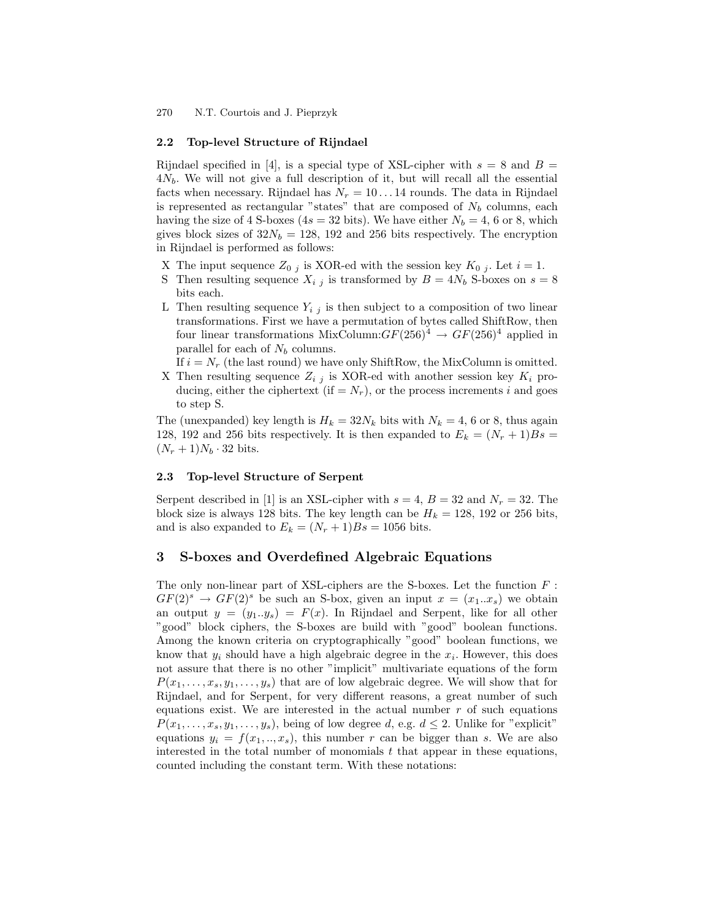#### 2.2 Top-level Structure of Rijndael

Rijndael specified in [4], is a special type of XSL-cipher with  $s = 8$  and  $B =$  $4N_b$ . We will not give a full description of it, but will recall all the essential facts when necessary. Rijndael has  $N_r = 10 \dots 14$  rounds. The data in Rijndael is represented as rectangular "states" that are composed of  $N_b$  columns, each having the size of 4 S-boxes (4s = 32 bits). We have either  $N_b = 4$ , 6 or 8, which gives block sizes of  $32N_b = 128$ , 192 and 256 bits respectively. The encryption in Rijndael is performed as follows:

- X The input sequence  $Z_{0j}$  is XOR-ed with the session key  $K_{0j}$ . Let  $i = 1$ .
- S Then resulting sequence  $X_{i,j}$  is transformed by  $B = 4N_b$  S-boxes on  $s = 8$ bits each.
- L Then resulting sequence  $Y_{i,j}$  is then subject to a composition of two linear transformations. First we have a permutation of bytes called ShiftRow, then four linear transformations MixColumn: $GF(256)^4 \rightarrow GF(256)^4$  applied in parallel for each of  $N_b$  columns.
	- If  $i = N_r$  (the last round) we have only ShiftRow, the MixColumn is omitted.
- X Then resulting sequence  $Z_{i,j}$  is XOR-ed with another session key  $K_i$  producing, either the ciphertext (if  $=N_r$ ), or the process increments i and goes to step S.

The (unexpanded) key length is  $H_k = 32N_k$  bits with  $N_k = 4$ , 6 or 8, thus again 128, 192 and 256 bits respectively. It is then expanded to  $E_k = (N_r + 1)Bs$  $(N_r + 1)N_b \cdot 32$  bits.

## 2.3 Top-level Structure of Serpent

Serpent described in [1] is an XSL-cipher with  $s = 4$ ,  $B = 32$  and  $N_r = 32$ . The block size is always 128 bits. The key length can be  $H_k = 128$ , 192 or 256 bits, and is also expanded to  $E_k = (N_r + 1)Bs = 1056$  bits.

## 3 S-boxes and Overdefined Algebraic Equations

The only non-linear part of XSL-ciphers are the S-boxes. Let the function  $F$ :  $GF(2)^s \rightarrow GF(2)^s$  be such an S-box, given an input  $x = (x_1...x_s)$  we obtain an output  $y = (y_1..y_s) = F(x)$ . In Rijndael and Serpent, like for all other "good" block ciphers, the S-boxes are build with "good" boolean functions. Among the known criteria on cryptographically "good" boolean functions, we know that  $y_i$  should have a high algebraic degree in the  $x_i$ . However, this does not assure that there is no other "implicit" multivariate equations of the form  $P(x_1, \ldots, x_s, y_1, \ldots, y_s)$  that are of low algebraic degree. We will show that for Rijndael, and for Serpent, for very different reasons, a great number of such equations exist. We are interested in the actual number  $r$  of such equations  $P(x_1, \ldots, x_s, y_1, \ldots, y_s)$ , being of low degree d, e.g.  $d \leq 2$ . Unlike for "explicit" equations  $y_i = f(x_1, \ldots, x_s)$ , this number r can be bigger than s. We are also interested in the total number of monomials  $t$  that appear in these equations, counted including the constant term. With these notations: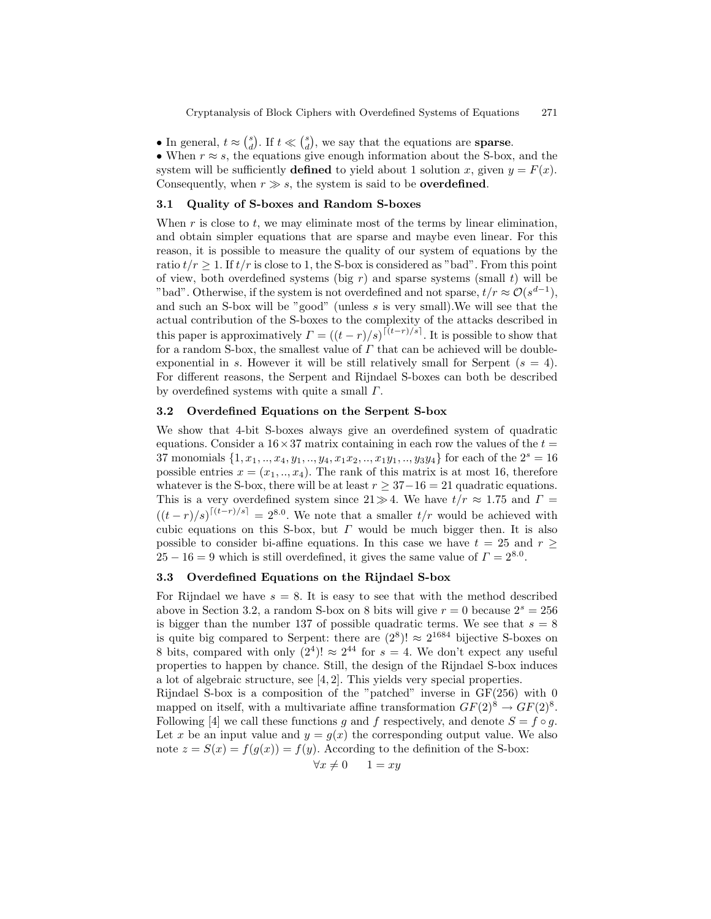• In general,  $t \approx \binom{s}{d}$ . If  $t \ll \binom{s}{d}$ , we say that the equations are **sparse**.

• When  $r \approx s$ , the equations give enough information about the S-box, and the system will be sufficiently **defined** to yield about 1 solution x, given  $y = F(x)$ . Consequently, when  $r \gg s$ , the system is said to be **overdefined**.

### 3.1 Quality of S-boxes and Random S-boxes

When  $r$  is close to  $t$ , we may eliminate most of the terms by linear elimination, and obtain simpler equations that are sparse and maybe even linear. For this reason, it is possible to measure the quality of our system of equations by the ratio  $t/r \geq 1$ . If  $t/r$  is close to 1, the S-box is considered as "bad". From this point of view, both overdefined systems (big r) and sparse systems (small t) will be "bad". Otherwise, if the system is not overdefined and not sparse,  $t/r \approx \mathcal{O}(s^{d-1}),$ and such an S-box will be "good" (unless s is very small).We will see that the actual contribution of the S-boxes to the complexity of the attacks described in this paper is approximatively  $\Gamma = ((t-r)/s)^{\lceil (t-r)/s \rceil}$ . It is possible to show that for a random S-box, the smallest value of  $\Gamma$  that can be achieved will be doubleexponential in s. However it will be still relatively small for Serpent  $(s = 4)$ . For different reasons, the Serpent and Rijndael S-boxes can both be described by overdefined systems with quite a small  $\Gamma$ .

#### 3.2 Overdefined Equations on the Serpent S-box

We show that 4-bit S-boxes always give an overdefined system of quadratic equations. Consider a  $16 \times 37$  matrix containing in each row the values of the  $t =$ 37 monomials  $\{1, x_1, ..., x_4, y_1, ..., y_4, x_1x_2, ..., x_1y_1, ..., y_3y_4\}$  for each of the  $2^s = 16$ possible entries  $x = (x_1, \ldots, x_4)$ . The rank of this matrix is at most 16, therefore whatever is the S-box, there will be at least  $r \geq 37-16 = 21$  quadratic equations. This is a very overdefined system since  $21\gg 4$ . We have  $t/r \approx 1.75$  and  $\Gamma =$  $((t-r)/s)^{\lceil (t-r)/s\rceil} = 2^{8.0}$ . We note that a smaller  $t/r$  would be achieved with cubic equations on this S-box, but  $\Gamma$  would be much bigger then. It is also possible to consider bi-affine equations. In this case we have  $t = 25$  and  $r \geq$  $25 - 16 = 9$  which is still overdefined, it gives the same value of  $\Gamma = 2^{8.0}$ .

# 3.3 Overdefined Equations on the Rijndael S-box

For Rijndael we have  $s = 8$ . It is easy to see that with the method described above in Section 3.2, a random S-box on 8 bits will give  $r = 0$  because  $2<sup>s</sup> = 256$ is bigger than the number 137 of possible quadratic terms. We see that  $s = 8$ is quite big compared to Serpent: there are  $(2^8)! \approx 2^{1684}$  bijective S-boxes on 8 bits, compared with only  $(2^4)! \approx 2^{44}$  for  $s = 4$ . We don't expect any useful properties to happen by chance. Still, the design of the Rijndael S-box induces a lot of algebraic structure, see [4, 2]. This yields very special properties.

Rijndael S-box is a composition of the "patched" inverse in GF(256) with 0 mapped on itself, with a multivariate affine transformation  $GF(2)^8 \to GF(2)^8$ . Following [4] we call these functions g and f respectively, and denote  $S = f \circ g$ . Let x be an input value and  $y = q(x)$  the corresponding output value. We also note  $z = S(x) = f(g(x)) = f(y)$ . According to the definition of the S-box:

$$
\forall x \neq 0 \qquad 1 = xy
$$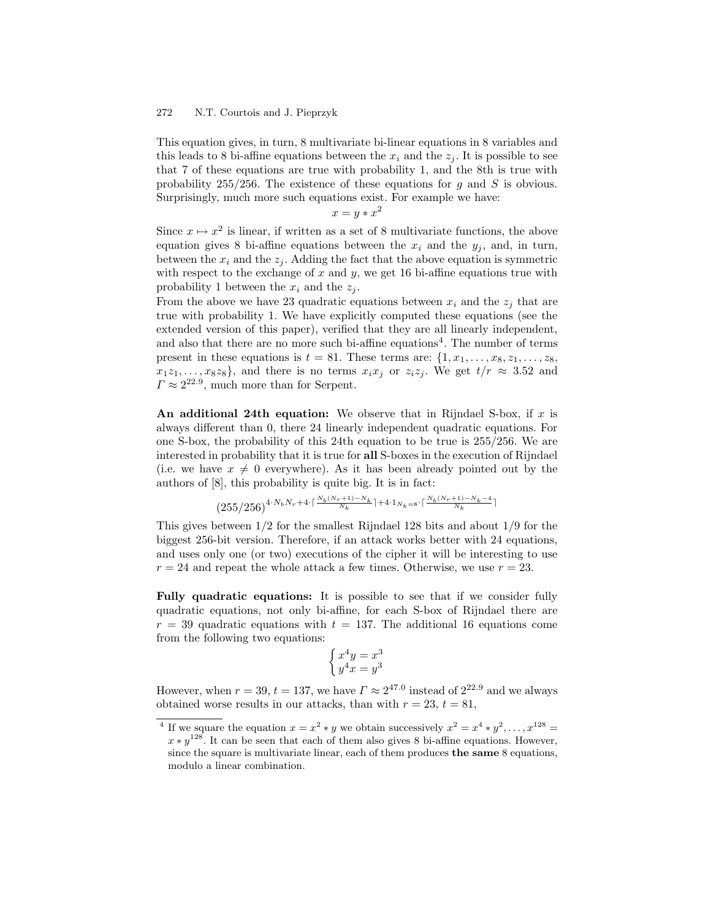This equation gives, in turn, 8 multivariate bi-linear equations in 8 variables and this leads to 8 bi-affine equations between the  $x_i$  and the  $z_j$ . It is possible to see that 7 of these equations are true with probability 1, and the 8th is true with probability 255/256. The existence of these equations for g and S is obvious. Surprisingly, much more such equations exist. For example we have:

 $x = y * x^2$ 

Since  $x \mapsto x^2$  is linear, if written as a set of 8 multivariate functions, the above equation gives 8 bi-affine equations between the  $x_i$  and the  $y_i$ , and, in turn, between the  $x_i$  and the  $z_j$ . Adding the fact that the above equation is symmetric with respect to the exchange of  $x$  and  $y$ , we get 16 bi-affine equations true with probability 1 between the  $x_i$  and the  $z_j$ .

From the above we have 23 quadratic equations between  $x_i$  and the  $z_i$  that are true with probability 1. We have explicitly computed these equations (see the extended version of this paper), verified that they are all linearly independent, and also that there are no more such bi-affine equations<sup>4</sup>. The number of terms present in these equations is  $t = 81$ . These terms are:  $\{1, x_1, \ldots, x_8, z_1, \ldots, z_8, z_9, \ldots, z_{10}\}$  $x_1z_1, \ldots, x_8z_8$ , and there is no terms  $x_ix_j$  or  $z_iz_j$ . We get  $t/r \approx 3.52$  and  $\Gamma \approx 2^{22.9}$ , much more than for Serpent.

An additional 24th equation: We observe that in Rijndael S-box, if  $x$  is always different than 0, there 24 linearly independent quadratic equations. For one S-box, the probability of this 24th equation to be true is 255/256. We are interested in probability that it is true for all S-boxes in the execution of Rijndael (i.e. we have  $x \neq 0$  everywhere). As it has been already pointed out by the authors of [8], this probability is quite big. It is in fact:

$$
(255/256)^{4\cdot N_bN_r+4\cdot \lceil \frac{N_b(N_r+1)-N_k}{N_k} \rceil+4\cdot 1_{N_k=8}\cdot \lceil \frac{N_b(N_r+1)-N_k-4}{N_k} \rceil}
$$

This gives between 1/2 for the smallest Rijndael 128 bits and about 1/9 for the biggest 256-bit version. Therefore, if an attack works better with 24 equations, and uses only one (or two) executions of the cipher it will be interesting to use  $r = 24$  and repeat the whole attack a few times. Otherwise, we use  $r = 23$ .

Fully quadratic equations: It is possible to see that if we consider fully quadratic equations, not only bi-affine, for each S-box of Rijndael there are  $r = 39$  quadratic equations with  $t = 137$ . The additional 16 equations come from the following two equations:

$$
\begin{cases} x^4y = x^3\\ y^4x = y^3 \end{cases}
$$

However, when  $r = 39$ ,  $t = 137$ , we have  $\Gamma \approx 2^{47.0}$  instead of  $2^{22.9}$  and we always obtained worse results in our attacks, than with  $r = 23$ ,  $t = 81$ ,

<sup>&</sup>lt;sup>4</sup> If we square the equation  $x = x^2 * y$  we obtain successively  $x^2 = x^4 * y^2, \ldots, x^{128} =$  $x * y^{128}$ . It can be seen that each of them also gives 8 bi-affine equations. However, since the square is multivariate linear, each of them produces the same 8 equations, modulo a linear combination.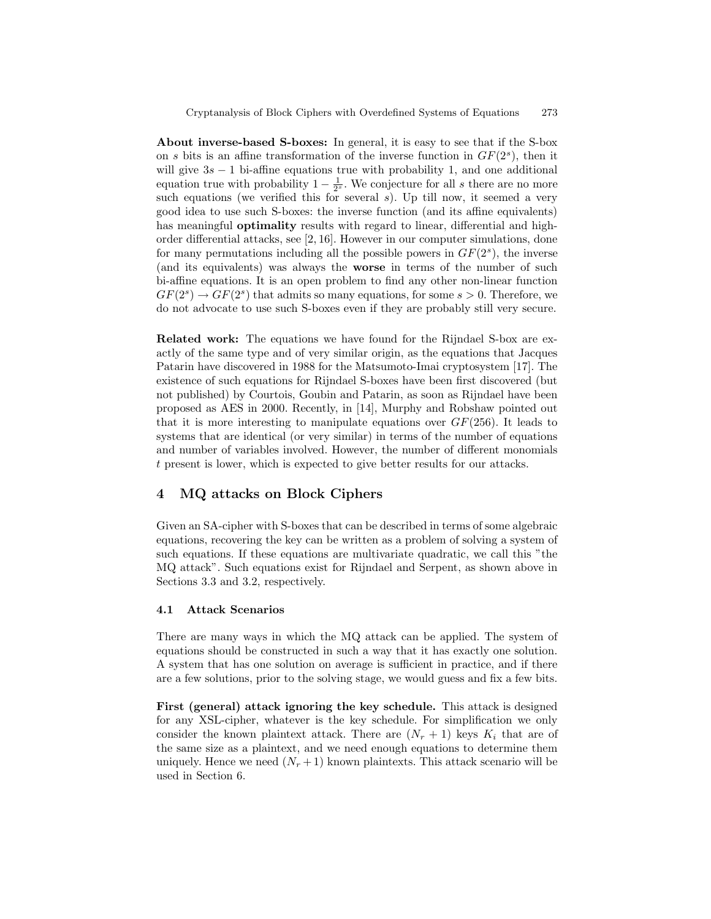About inverse-based S-boxes: In general, it is easy to see that if the S-box on s bits is an affine transformation of the inverse function in  $GF(2<sup>s</sup>)$ , then it will give  $3s - 1$  bi-affine equations true with probability 1, and one additional equation true with probability  $1 - \frac{1}{2^s}$ . We conjecture for all s there are no more such equations (we verified this for several  $s$ ). Up till now, it seemed a very good idea to use such S-boxes: the inverse function (and its affine equivalents) has meaningful **optimality** results with regard to linear, differential and highorder differential attacks, see [2, 16]. However in our computer simulations, done for many permutations including all the possible powers in  $GF(2<sup>s</sup>)$ , the inverse (and its equivalents) was always the worse in terms of the number of such bi-affine equations. It is an open problem to find any other non-linear function  $GF(2<sup>s</sup>) \rightarrow GF(2<sup>s</sup>)$  that admits so many equations, for some  $s > 0$ . Therefore, we do not advocate to use such S-boxes even if they are probably still very secure.

Related work: The equations we have found for the Rijndael S-box are exactly of the same type and of very similar origin, as the equations that Jacques Patarin have discovered in 1988 for the Matsumoto-Imai cryptosystem [17]. The existence of such equations for Rijndael S-boxes have been first discovered (but not published) by Courtois, Goubin and Patarin, as soon as Rijndael have been proposed as AES in 2000. Recently, in [14], Murphy and Robshaw pointed out that it is more interesting to manipulate equations over  $GF(256)$ . It leads to systems that are identical (or very similar) in terms of the number of equations and number of variables involved. However, the number of different monomials t present is lower, which is expected to give better results for our attacks.

# 4 MQ attacks on Block Ciphers

Given an SA-cipher with S-boxes that can be described in terms of some algebraic equations, recovering the key can be written as a problem of solving a system of such equations. If these equations are multivariate quadratic, we call this "the MQ attack". Such equations exist for Rijndael and Serpent, as shown above in Sections 3.3 and 3.2, respectively.

## 4.1 Attack Scenarios

There are many ways in which the MQ attack can be applied. The system of equations should be constructed in such a way that it has exactly one solution. A system that has one solution on average is sufficient in practice, and if there are a few solutions, prior to the solving stage, we would guess and fix a few bits.

First (general) attack ignoring the key schedule. This attack is designed for any XSL-cipher, whatever is the key schedule. For simplification we only consider the known plaintext attack. There are  $(N_r + 1)$  keys  $K_i$  that are of the same size as a plaintext, and we need enough equations to determine them uniquely. Hence we need  $(N_r + 1)$  known plaintexts. This attack scenario will be used in Section 6.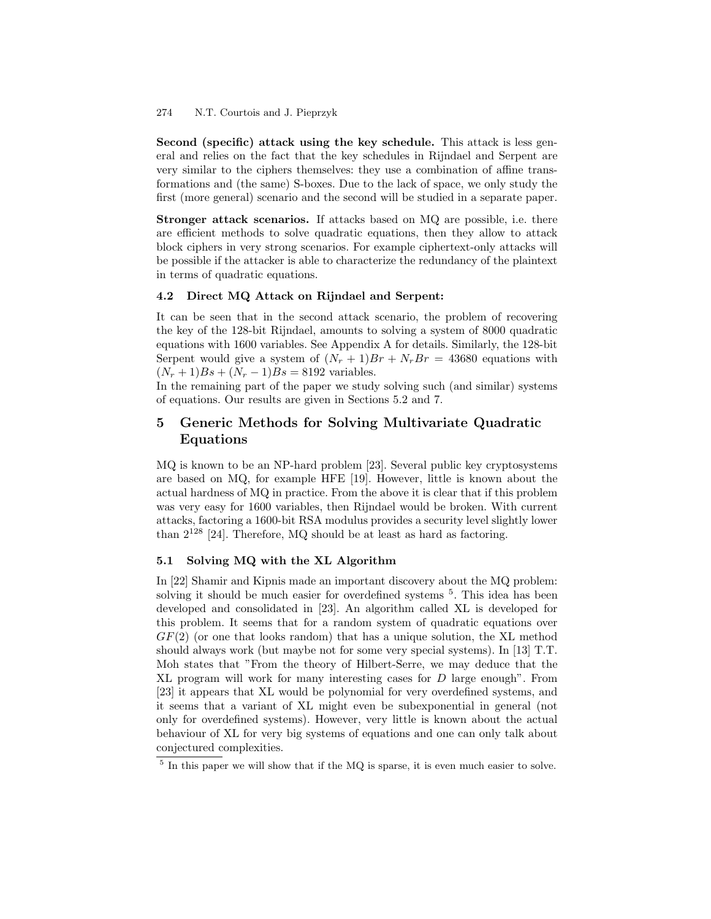Second (specific) attack using the key schedule. This attack is less general and relies on the fact that the key schedules in Rijndael and Serpent are very similar to the ciphers themselves: they use a combination of affine transformations and (the same) S-boxes. Due to the lack of space, we only study the first (more general) scenario and the second will be studied in a separate paper.

Stronger attack scenarios. If attacks based on MQ are possible, i.e. there are efficient methods to solve quadratic equations, then they allow to attack block ciphers in very strong scenarios. For example ciphertext-only attacks will be possible if the attacker is able to characterize the redundancy of the plaintext in terms of quadratic equations.

#### 4.2 Direct MQ Attack on Rijndael and Serpent:

It can be seen that in the second attack scenario, the problem of recovering the key of the 128-bit Rijndael, amounts to solving a system of 8000 quadratic equations with 1600 variables. See Appendix A for details. Similarly, the 128-bit Serpent would give a system of  $(N_r + 1)Br + N_rBr = 43680$  equations with  $(N_r + 1)Bs + (N_r - 1)Bs = 8192$  variables.

In the remaining part of the paper we study solving such (and similar) systems of equations. Our results are given in Sections 5.2 and 7.

# 5 Generic Methods for Solving Multivariate Quadratic Equations

MQ is known to be an NP-hard problem [23]. Several public key cryptosystems are based on MQ, for example HFE [19]. However, little is known about the actual hardness of MQ in practice. From the above it is clear that if this problem was very easy for 1600 variables, then Rijndael would be broken. With current attacks, factoring a 1600-bit RSA modulus provides a security level slightly lower than  $2^{128}$  [24]. Therefore, MQ should be at least as hard as factoring.

## 5.1 Solving MQ with the XL Algorithm

In [22] Shamir and Kipnis made an important discovery about the MQ problem: solving it should be much easier for overdefined systems <sup>5</sup>. This idea has been developed and consolidated in [23]. An algorithm called XL is developed for this problem. It seems that for a random system of quadratic equations over  $GF(2)$  (or one that looks random) that has a unique solution, the XL method should always work (but maybe not for some very special systems). In [13] T.T. Moh states that "From the theory of Hilbert-Serre, we may deduce that the XL program will work for many interesting cases for D large enough". From [23] it appears that XL would be polynomial for very overdefined systems, and it seems that a variant of XL might even be subexponential in general (not only for overdefined systems). However, very little is known about the actual behaviour of XL for very big systems of equations and one can only talk about conjectured complexities.

<sup>&</sup>lt;sup>5</sup> In this paper we will show that if the MQ is sparse, it is even much easier to solve.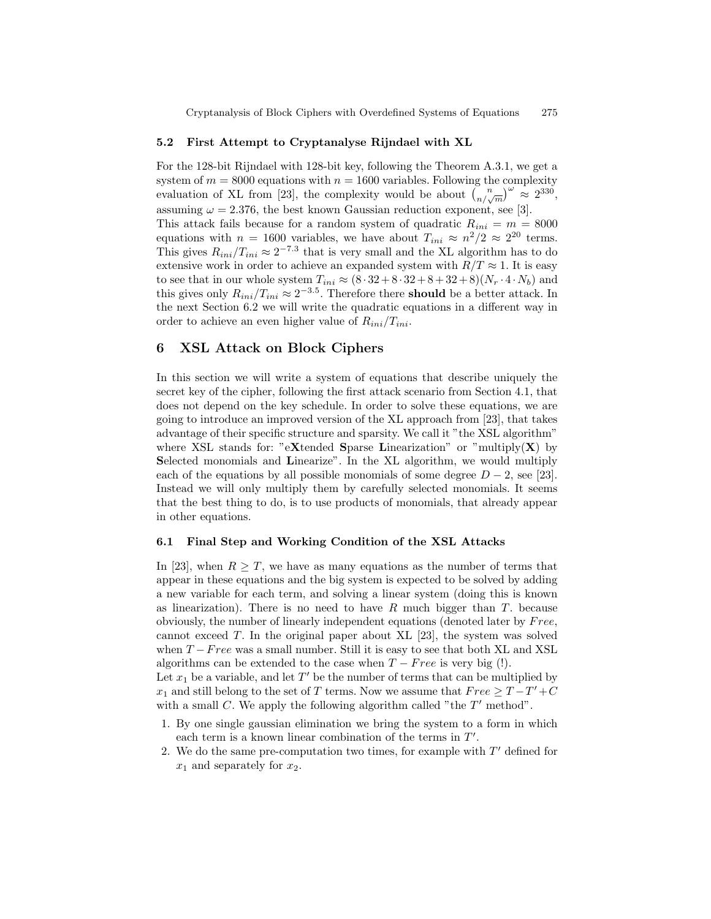#### 5.2 First Attempt to Cryptanalyse Rijndael with XL

For the 128-bit Rijndael with 128-bit key, following the Theorem A.3.1, we get a system of  $m = 8000$  equations with  $n = 1600$  variables. Following the complexity evaluation of XL from [23], the complexity would be about  $\binom{n}{n/\sqrt{m}}^{\omega} \approx 2^{330}$ , assuming  $\omega = 2.376$ , the best known Gaussian reduction exponent, see [3]. This attack fails because for a random system of quadratic  $R_{ini} = m = 8000$ equations with  $n = 1600$  variables, we have about  $T_{ini} \approx n^2/2 \approx 2^{20}$  terms. This gives  $R_{ini}/T_{ini} \approx 2^{-7.3}$  that is very small and the XL algorithm has to do extensive work in order to achieve an expanded system with  $R/T \approx 1$ . It is easy to see that in our whole system  $T_{ini} \approx (8 \cdot 32 + 8 \cdot 32 + 8 + 32 + 8)(N_r \cdot 4 \cdot N_b)$  and this gives only  $R_{ini}/T_{ini} \approx 2^{-3.5}$ . Therefore there **should** be a better attack. In the next Section 6.2 we will write the quadratic equations in a different way in order to achieve an even higher value of  $R_{ini}/T_{ini}$ .

## 6 XSL Attack on Block Ciphers

In this section we will write a system of equations that describe uniquely the secret key of the cipher, following the first attack scenario from Section 4.1, that does not depend on the key schedule. In order to solve these equations, we are going to introduce an improved version of the XL approach from [23], that takes advantage of their specific structure and sparsity. We call it "the XSL algorithm" where XSL stands for: "eXtended Sparse Linearization" or "multiply(X) by Selected monomials and Linearize". In the XL algorithm, we would multiply each of the equations by all possible monomials of some degree  $D-2$ , see [23]. Instead we will only multiply them by carefully selected monomials. It seems that the best thing to do, is to use products of monomials, that already appear in other equations.

## 6.1 Final Step and Working Condition of the XSL Attacks

In [23], when  $R > T$ , we have as many equations as the number of terms that appear in these equations and the big system is expected to be solved by adding a new variable for each term, and solving a linear system (doing this is known as linearization). There is no need to have  $R$  much bigger than  $T$ . because obviously, the number of linearly independent equations (denoted later by Free, cannot exceed T. In the original paper about XL  $[23]$ , the system was solved when  $T - Free$  was a small number. Still it is easy to see that both XL and XSL algorithms can be extended to the case when  $T - Free$  is very big (!).

Let  $x_1$  be a variable, and let  $T'$  be the number of terms that can be multiplied by  $x_1$  and still belong to the set of T terms. Now we assume that  $Free \geq T-T'+C$ with a small C. We apply the following algorithm called "the  $T'$  method".

- 1. By one single gaussian elimination we bring the system to a form in which each term is a known linear combination of the terms in  $T'$ .
- 2. We do the same pre-computation two times, for example with  $T'$  defined for  $x_1$  and separately for  $x_2$ .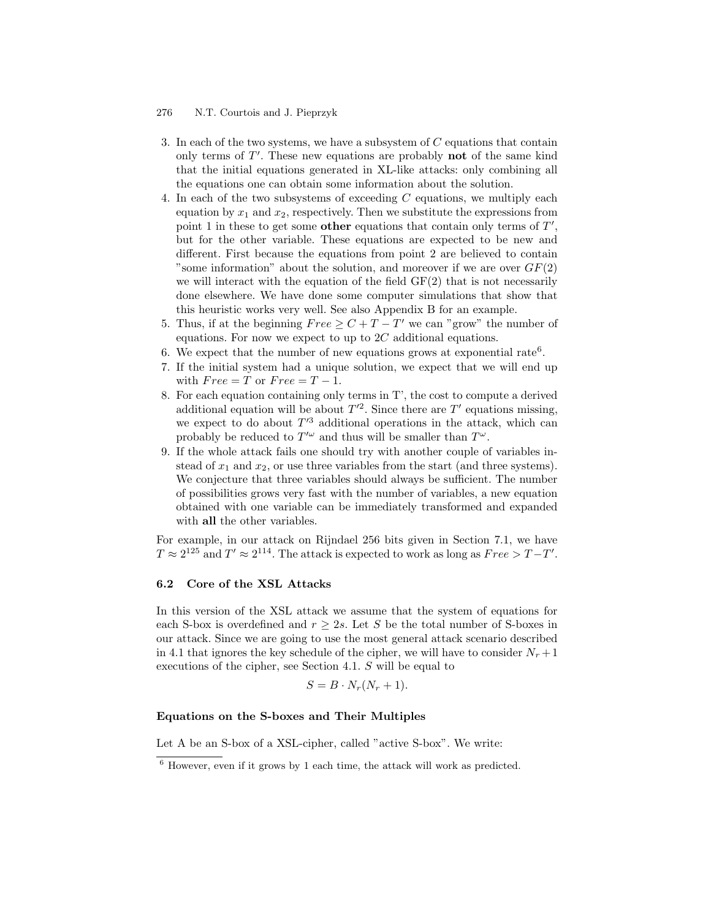- 3. In each of the two systems, we have a subsystem of C equations that contain only terms of  $T'$ . These new equations are probably **not** of the same kind that the initial equations generated in XL-like attacks: only combining all the equations one can obtain some information about the solution.
- 4. In each of the two subsystems of exceeding C equations, we multiply each equation by  $x_1$  and  $x_2$ , respectively. Then we substitute the expressions from point 1 in these to get some **other** equations that contain only terms of  $T'$ , but for the other variable. These equations are expected to be new and different. First because the equations from point 2 are believed to contain "some information" about the solution, and moreover if we are over  $GF(2)$ we will interact with the equation of the field  $GF(2)$  that is not necessarily done elsewhere. We have done some computer simulations that show that this heuristic works very well. See also Appendix B for an example.
- 5. Thus, if at the beginning  $Free \geq C+T-T'$  we can "grow" the number of equations. For now we expect to up to  $2C$  additional equations.
- 6. We expect that the number of new equations grows at exponential rate<sup>6</sup>.
- 7. If the initial system had a unique solution, we expect that we will end up with  $Free = T$  or  $Free = T - 1$ .
- 8. For each equation containing only terms in T', the cost to compute a derived additional equation will be about  $T^2$ . Since there are T' equations missing, we expect to do about  $T<sup>3</sup>$  additional operations in the attack, which can probably be reduced to  $T^{\prime\omega}$  and thus will be smaller than  $T^{\omega}$ .
- 9. If the whole attack fails one should try with another couple of variables instead of  $x_1$  and  $x_2$ , or use three variables from the start (and three systems). We conjecture that three variables should always be sufficient. The number of possibilities grows very fast with the number of variables, a new equation obtained with one variable can be immediately transformed and expanded with all the other variables.

For example, in our attack on Rijndael 256 bits given in Section 7.1, we have  $T \approx 2^{125}$  and  $T' \approx 2^{114}$ . The attack is expected to work as long as  $Free > T - T'$ .

#### 6.2 Core of the XSL Attacks

In this version of the XSL attack we assume that the system of equations for each S-box is overdefined and  $r \geq 2s$ . Let S be the total number of S-boxes in our attack. Since we are going to use the most general attack scenario described in 4.1 that ignores the key schedule of the cipher, we will have to consider  $N_r + 1$ executions of the cipher, see Section 4.1. S will be equal to

$$
S = B \cdot N_r (N_r + 1).
$$

#### Equations on the S-boxes and Their Multiples

Let A be an S-box of a XSL-cipher, called "active S-box". We write:

 $6$  However, even if it grows by 1 each time, the attack will work as predicted.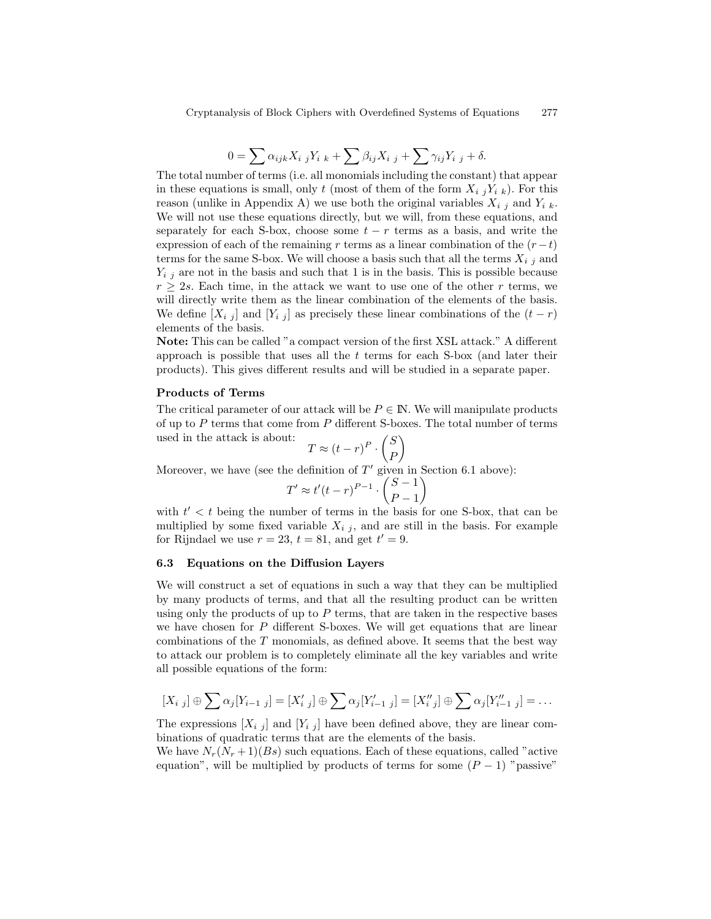$$
0 = \sum \alpha_{ijk} X_{i\ j} Y_{i\ k} + \sum \beta_{ij} X_{i\ j} + \sum \gamma_{ij} Y_{i\ j} + \delta.
$$

The total number of terms (i.e. all monomials including the constant) that appear in these equations is small, only t (most of them of the form  $X_{i}$ ,  $Y_{i}$ , k). For this reason (unlike in Appendix A) we use both the original variables  $X_{i,j}$  and  $Y_{i,k}$ . We will not use these equations directly, but we will, from these equations, and separately for each S-box, choose some  $t - r$  terms as a basis, and write the expression of each of the remaining r terms as a linear combination of the  $(r-t)$ terms for the same S-box. We will choose a basis such that all the terms  $X_{i,j}$  and  $Y_{i,j}$  are not in the basis and such that 1 is in the basis. This is possible because  $r \geq 2s$ . Each time, in the attack we want to use one of the other r terms, we will directly write them as the linear combination of the elements of the basis. We define  $[X_{i,j}]$  and  $[Y_{i,j}]$  as precisely these linear combinations of the  $(t - r)$ elements of the basis.

Note: This can be called "a compact version of the first XSL attack." A different approach is possible that uses all the  $t$  terms for each S-box (and later their products). This gives different results and will be studied in a separate paper.

#### Products of Terms

The critical parameter of our attack will be  $P \in \mathbb{N}$ . We will manipulate products of up to  $P$  terms that come from  $P$  different S-boxes. The total number of terms used in the attack is about:

$$
T \approx (t - r)^P \cdot \binom{S}{P}
$$

Moreover, we have (see the definition of  $T'$  given in Section 6.1 above):

$$
T' \approx t'(t-r)^{P-1} \cdot \binom{S-1}{P-1}
$$

with  $t' < t$  being the number of terms in the basis for one S-box, that can be multiplied by some fixed variable  $X_{i,i}$ , and are still in the basis. For example for Rijndael we use  $r = 23$ ,  $t = 81$ , and get  $t' = 9$ .

#### 6.3 Equations on the Diffusion Layers

We will construct a set of equations in such a way that they can be multiplied by many products of terms, and that all the resulting product can be written using only the products of up to  $P$  terms, that are taken in the respective bases we have chosen for  $P$  different S-boxes. We will get equations that are linear combinations of the  $T$  monomials, as defined above. It seems that the best way to attack our problem is to completely eliminate all the key variables and write all possible equations of the form:

$$
[X_{i\ j}]\oplus \sum \alpha_{j}[Y_{i-1\ j}] = [X'_{i\ j}]\oplus \sum \alpha_{j}[Y'_{i-1\ j}] = [X''_{i\ j}]\oplus \sum \alpha_{j}[Y''_{i-1\ j}] = \dots
$$

The expressions  $[X_{i,j}]$  and  $[Y_{i,j}]$  have been defined above, they are linear combinations of quadratic terms that are the elements of the basis.

We have  $N_r(N_r+1)(Bs)$  such equations. Each of these equations, called "active" equation", will be multiplied by products of terms for some  $(P-1)$  "passive"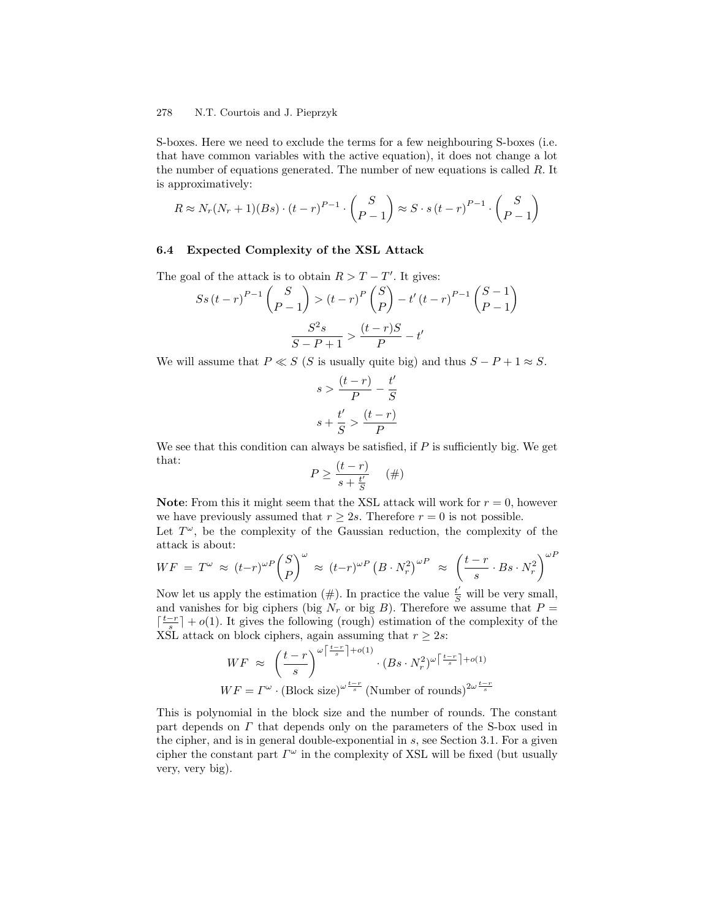S-boxes. Here we need to exclude the terms for a few neighbouring S-boxes (i.e. that have common variables with the active equation), it does not change a lot the number of equations generated. The number of new equations is called  $R$ . It is approximatively:

$$
R \approx N_r(N_r+1)(Bs) \cdot (t-r)^{P-1} \cdot \binom{S}{P-1} \approx S \cdot s (t-r)^{P-1} \cdot \binom{S}{P-1}
$$

#### 6.4 Expected Complexity of the XSL Attack

The goal of the attack is to obtain  $R > T - T'$ . It gives:

$$
S_{S}(t-r)^{P-1} \binom{S}{P-1} > (t-r)^{P} \binom{S}{P} - t'(t-r)^{P-1} \binom{S-1}{P-1} \\
 \frac{S^{2}s}{S-P+1} > \frac{(t-r)S}{P} - t'
$$

We will assume that  $P \ll S$  (S is usually quite big) and thus  $S - P + 1 \approx S$ .

$$
s > \frac{(t-r)}{P} - \frac{t'}{S}
$$

$$
s + \frac{t'}{S} > \frac{(t-r)}{P}
$$

We see that this condition can always be satisfied, if  $P$  is sufficiently big. We get that:

$$
P \ge \frac{(t-r)}{s+\frac{t'}{S}} \quad (\#)
$$

**Note:** From this it might seem that the XSL attack will work for  $r = 0$ , however we have previously assumed that  $r \geq 2s$ . Therefore  $r = 0$  is not possible.

Let  $T^{\omega}$ , be the complexity of the Gaussian reduction, the complexity of the attack is about:

$$
WF = T^{\omega} \approx (t-r)^{\omega P} {S \choose P}^{\omega} \approx (t-r)^{\omega P} (B \cdot N_r^2)^{\omega P} \approx \left(\frac{t-r}{s} \cdot Bs \cdot N_r^2\right)^{\omega P}
$$

Now let us apply the estimation  $(\#)$ . In practice the value  $\frac{t'}{S}$  will be very small, and vanishes for big ciphers (big  $N_r$  or big B). Therefore we assume that  $P =$  $\lceil \frac{t-r}{s} \rceil + o(1)$ . It gives the following (rough) estimation of the complexity of the XSL attack on block ciphers, again assuming that  $r \geq 2s$ :

$$
WF \approx \left(\frac{t-r}{s}\right)^{\omega\left\lceil \frac{t-r}{s} \right\rceil + o(1)} \cdot (Bs \cdot N_r^2)^{\omega\left\lceil \frac{t-r}{s} \right\rceil + o(1)}
$$

$$
WF = \Gamma^{\omega} \cdot (\text{Block size})^{\omega\frac{t-r}{s}} (\text{Number of rounds})^{2\omega\frac{t-r}{s}}
$$

This is polynomial in the block size and the number of rounds. The constant part depends on  $\Gamma$  that depends only on the parameters of the S-box used in the cipher, and is in general double-exponential in s, see Section 3.1. For a given cipher the constant part  $\Gamma^{\omega}$  in the complexity of XSL will be fixed (but usually very, very big).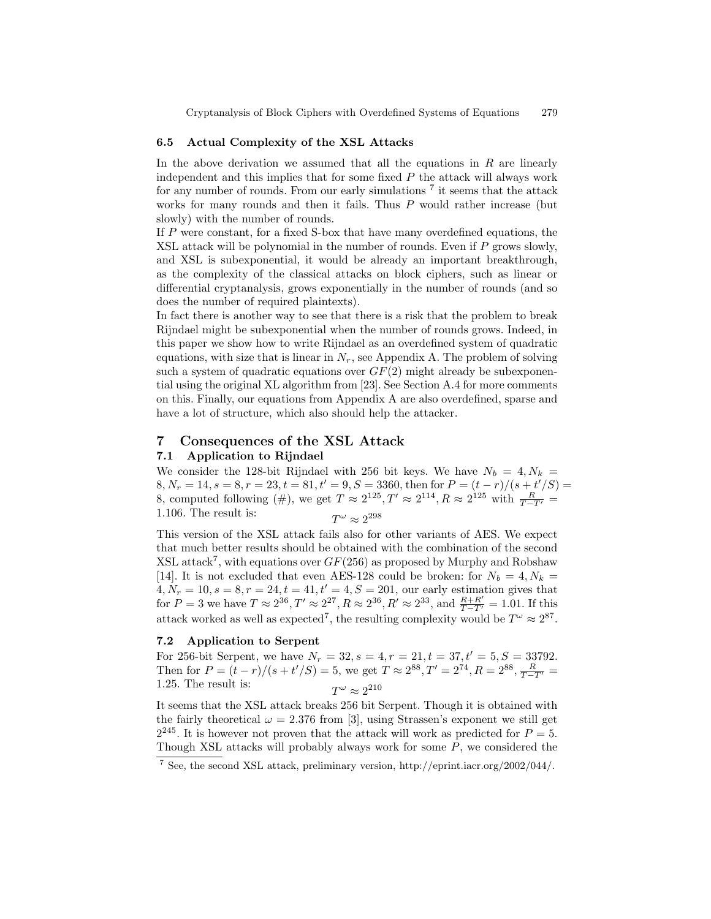### 6.5 Actual Complexity of the XSL Attacks

In the above derivation we assumed that all the equations in  $R$  are linearly independent and this implies that for some fixed  $P$  the attack will always work for any number of rounds. From our early simulations<sup>7</sup> it seems that the attack works for many rounds and then it fails. Thus  $P$  would rather increase (but slowly) with the number of rounds.

If P were constant, for a fixed S-box that have many overdefined equations, the XSL attack will be polynomial in the number of rounds. Even if  $P$  grows slowly, and XSL is subexponential, it would be already an important breakthrough, as the complexity of the classical attacks on block ciphers, such as linear or differential cryptanalysis, grows exponentially in the number of rounds (and so does the number of required plaintexts).

In fact there is another way to see that there is a risk that the problem to break Rijndael might be subexponential when the number of rounds grows. Indeed, in this paper we show how to write Rijndael as an overdefined system of quadratic equations, with size that is linear in  $N_r$ , see Appendix A. The problem of solving such a system of quadratic equations over  $GF(2)$  might already be subexponential using the original XL algorithm from [23]. See Section A.4 for more comments on this. Finally, our equations from Appendix A are also overdefined, sparse and have a lot of structure, which also should help the attacker.

# 7 Consequences of the XSL Attack

#### 7.1 Application to Rijndael

We consider the 128-bit Rijndael with 256 bit keys. We have  $N_b = 4, N_k =$  $8, N_r = 14, s = 8, r = 23, t = 81, t' = 9, S = 3360,$  then for  $P = (t - r)/(s + t'/S) =$ 8, computed following (#), we get  $T \approx 2^{125}$ ,  $T' \approx 2^{114}$ ,  $R \approx 2^{125}$  with  $\frac{R}{T-T'} = 1.106$ . The state of the state of the state of the state of the state of the state of the state of the state of the state of the  $1.106$ . The result is:  $\omega \approx 2^{298}$ 

This version of the XSL attack fails also for other variants of AES. We expect that much better results should be obtained with the combination of the second  $XSL$  attack<sup>7</sup>, with equations over  $GF(256)$  as proposed by Murphy and Robshaw [14]. It is not excluded that even AES-128 could be broken: for  $N_b = 4, N_k =$  $4, N_r = 10, s = 8, r = 24, t = 41, t' = 4, S = 201$ , our early estimation gives that for  $P = 3$  we have  $T \approx 2^{36}$ ,  $T' \approx 2^{27}$ ,  $R \approx 2^{36}$ ,  $R' \approx 2^{33}$ , and  $\frac{R+R'}{T-T'} = 1.01$ . If this attack worked as well as expected<sup>7</sup>, the resulting complexity would be  $T^{\omega} \approx 2^{87}$ .

#### 7.2 Application to Serpent

For 256-bit Serpent, we have  $N_r = 32$ ,  $s = 4$ ,  $r = 21$ ,  $t = 37$ ,  $t' = 5$ ,  $S = 33792$ . Then for  $P = (t - r)/(s + t'/S) = 5$ , we get  $T \approx 2^{88}$ ,  $T' = 2^{74}$ ,  $R = 2^{88}$ ,  $\frac{R}{T-T'} = 1.87$ .  $1.25$ . The result is:  $\omega \approx 2^{210}$ 

It seems that the XSL attack breaks 256 bit Serpent. Though it is obtained with the fairly theoretical  $\omega = 2.376$  from [3], using Strassen's exponent we still get  $2^{245}$ . It is however not proven that the attack will work as predicted for  $P=5$ . Though XSL attacks will probably always work for some  $P$ , we considered the

<sup>7</sup> See, the second XSL attack, preliminary version, http://eprint.iacr.org/2002/044/.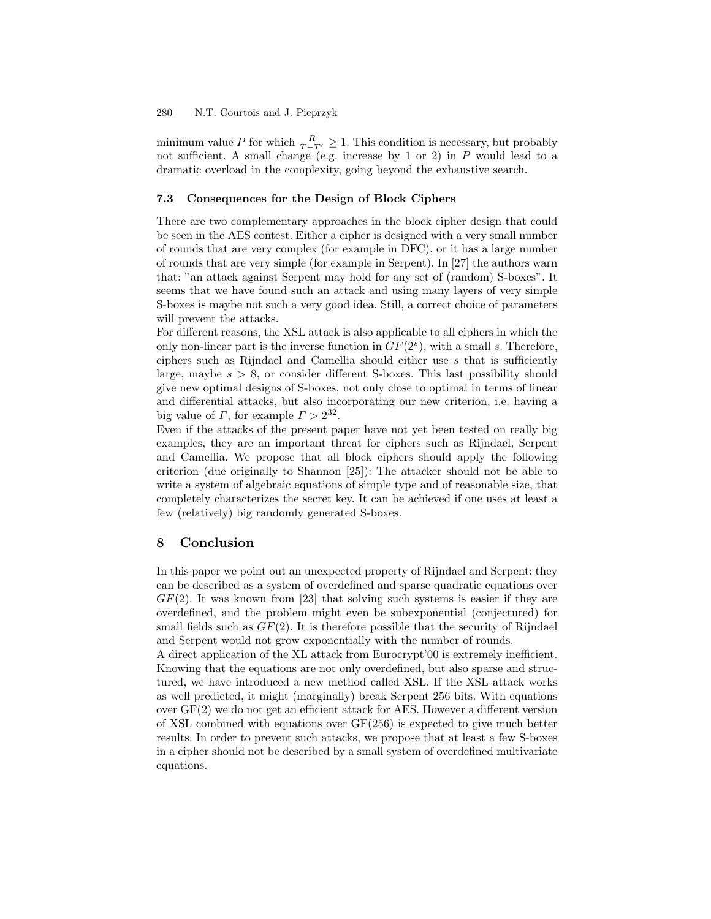minimum value P for which  $\frac{R}{T-T'} \geq 1$ . This condition is necessary, but probably not sufficient. A small change (e.g. increase by 1 or 2) in  $P$  would lead to a dramatic overload in the complexity, going beyond the exhaustive search.

#### 7.3 Consequences for the Design of Block Ciphers

There are two complementary approaches in the block cipher design that could be seen in the AES contest. Either a cipher is designed with a very small number of rounds that are very complex (for example in DFC), or it has a large number of rounds that are very simple (for example in Serpent). In [27] the authors warn that: "an attack against Serpent may hold for any set of (random) S-boxes". It seems that we have found such an attack and using many layers of very simple S-boxes is maybe not such a very good idea. Still, a correct choice of parameters will prevent the attacks.

For different reasons, the XSL attack is also applicable to all ciphers in which the only non-linear part is the inverse function in  $GF(2<sup>s</sup>)$ , with a small s. Therefore, ciphers such as Rijndael and Camellia should either use  $s$  that is sufficiently large, maybe  $s > 8$ , or consider different S-boxes. This last possibility should give new optimal designs of S-boxes, not only close to optimal in terms of linear and differential attacks, but also incorporating our new criterion, i.e. having a big value of  $\Gamma$ , for example  $\Gamma > 2^{32}$ .

Even if the attacks of the present paper have not yet been tested on really big examples, they are an important threat for ciphers such as Rijndael, Serpent and Camellia. We propose that all block ciphers should apply the following criterion (due originally to Shannon [25]): The attacker should not be able to write a system of algebraic equations of simple type and of reasonable size, that completely characterizes the secret key. It can be achieved if one uses at least a few (relatively) big randomly generated S-boxes.

# 8 Conclusion

In this paper we point out an unexpected property of Rijndael and Serpent: they can be described as a system of overdefined and sparse quadratic equations over  $GF(2)$ . It was known from [23] that solving such systems is easier if they are overdefined, and the problem might even be subexponential (conjectured) for small fields such as  $GF(2)$ . It is therefore possible that the security of Rijndael and Serpent would not grow exponentially with the number of rounds.

A direct application of the XL attack from Eurocrypt'00 is extremely inefficient. Knowing that the equations are not only overdefined, but also sparse and structured, we have introduced a new method called XSL. If the XSL attack works as well predicted, it might (marginally) break Serpent 256 bits. With equations over GF(2) we do not get an efficient attack for AES. However a different version of XSL combined with equations over  $GF(256)$  is expected to give much better results. In order to prevent such attacks, we propose that at least a few S-boxes in a cipher should not be described by a small system of overdefined multivariate equations.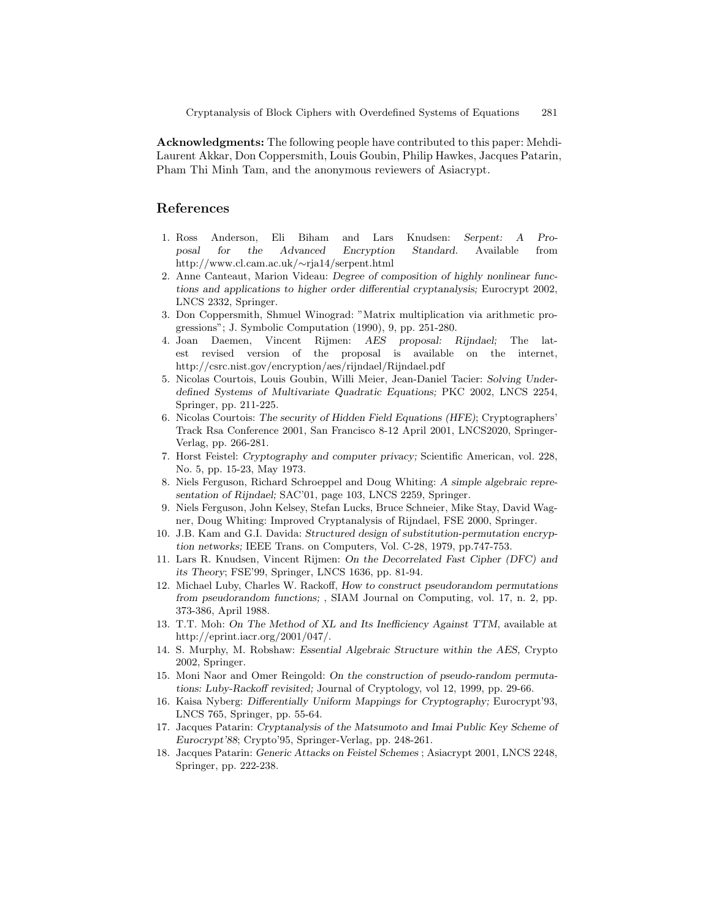Acknowledgments: The following people have contributed to this paper: Mehdi-Laurent Akkar, Don Coppersmith, Louis Goubin, Philip Hawkes, Jacques Patarin, Pham Thi Minh Tam, and the anonymous reviewers of Asiacrypt.

# References

- 1. Ross Anderson, Eli Biham and Lars Knudsen: Serpent: A Proposal for the Advanced Encryption Standard. Available from http://www.cl.cam.ac.uk/∼rja14/serpent.html
- 2. Anne Canteaut, Marion Videau: Degree of composition of highly nonlinear functions and applications to higher order differential cryptanalysis; Eurocrypt 2002, LNCS 2332, Springer.
- 3. Don Coppersmith, Shmuel Winograd: "Matrix multiplication via arithmetic progressions"; J. Symbolic Computation (1990), 9, pp. 251-280.
- 4. Joan Daemen, Vincent Rijmen: AES proposal: Rijndael; The latest revised version of the proposal is available on the internet, http://csrc.nist.gov/encryption/aes/rijndael/Rijndael.pdf
- 5. Nicolas Courtois, Louis Goubin, Willi Meier, Jean-Daniel Tacier: Solving Underdefined Systems of Multivariate Quadratic Equations; PKC 2002, LNCS 2254, Springer, pp. 211-225.
- 6. Nicolas Courtois: The security of Hidden Field Equations (HFE); Cryptographers' Track Rsa Conference 2001, San Francisco 8-12 April 2001, LNCS2020, Springer-Verlag, pp. 266-281.
- 7. Horst Feistel: Cryptography and computer privacy; Scientific American, vol. 228, No. 5, pp. 15-23, May 1973.
- 8. Niels Ferguson, Richard Schroeppel and Doug Whiting: A simple algebraic representation of Rijndael; SAC'01, page 103, LNCS 2259, Springer.
- 9. Niels Ferguson, John Kelsey, Stefan Lucks, Bruce Schneier, Mike Stay, David Wagner, Doug Whiting: Improved Cryptanalysis of Rijndael, FSE 2000, Springer.
- 10. J.B. Kam and G.I. Davida: Structured design of substitution-permutation encryption networks; IEEE Trans. on Computers, Vol. C-28, 1979, pp.747-753.
- 11. Lars R. Knudsen, Vincent Rijmen: On the Decorrelated Fast Cipher (DFC) and its Theory; FSE'99, Springer, LNCS 1636, pp. 81-94.
- 12. Michael Luby, Charles W. Rackoff, How to construct pseudorandom permutations from pseudorandom functions; , SIAM Journal on Computing, vol. 17, n. 2, pp. 373-386, April 1988.
- 13. T.T. Moh: On The Method of XL and Its Inefficiency Against TTM, available at http://eprint.iacr.org/2001/047/.
- 14. S. Murphy, M. Robshaw: Essential Algebraic Structure within the AES, Crypto 2002, Springer.
- 15. Moni Naor and Omer Reingold: On the construction of pseudo-random permutations: Luby-Rackoff revisited; Journal of Cryptology, vol 12, 1999, pp. 29-66.
- 16. Kaisa Nyberg: Differentially Uniform Mappings for Cryptography; Eurocrypt'93, LNCS 765, Springer, pp. 55-64.
- 17. Jacques Patarin: Cryptanalysis of the Matsumoto and Imai Public Key Scheme of Eurocrypt'88; Crypto'95, Springer-Verlag, pp. 248-261.
- 18. Jacques Patarin: Generic Attacks on Feistel Schemes ; Asiacrypt 2001, LNCS 2248, Springer, pp. 222-238.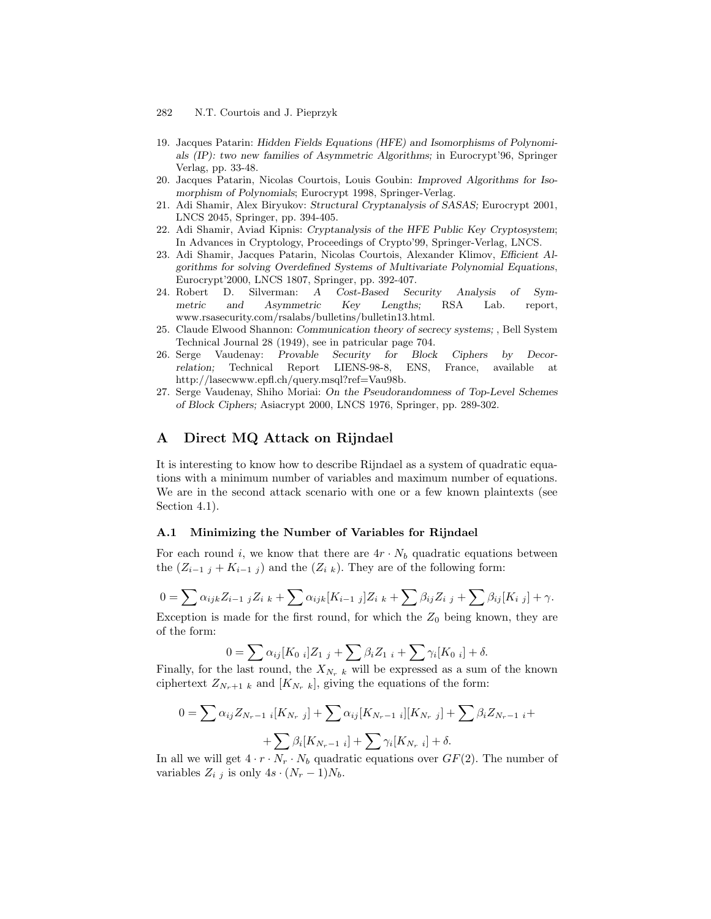- 282 N.T. Courtois and J. Pieprzyk
- 19. Jacques Patarin: Hidden Fields Equations (HFE) and Isomorphisms of Polynomials (IP): two new families of Asymmetric Algorithms; in Eurocrypt'96, Springer Verlag, pp. 33-48.
- 20. Jacques Patarin, Nicolas Courtois, Louis Goubin: Improved Algorithms for Isomorphism of Polynomials; Eurocrypt 1998, Springer-Verlag.
- 21. Adi Shamir, Alex Biryukov: Structural Cryptanalysis of SASAS; Eurocrypt 2001, LNCS 2045, Springer, pp. 394-405.
- 22. Adi Shamir, Aviad Kipnis: Cryptanalysis of the HFE Public Key Cryptosystem; In Advances in Cryptology, Proceedings of Crypto'99, Springer-Verlag, LNCS.
- 23. Adi Shamir, Jacques Patarin, Nicolas Courtois, Alexander Klimov, Efficient Algorithms for solving Overdefined Systems of Multivariate Polynomial Equations, Eurocrypt'2000, LNCS 1807, Springer, pp. 392-407.
- 24. Robert D. Silverman: A Cost-Based Security Analysis of Symmetric and Asymmetric Key Lengths; RSA Lab. report, www.rsasecurity.com/rsalabs/bulletins/bulletin13.html.
- 25. Claude Elwood Shannon: Communication theory of secrecy systems; , Bell System Technical Journal 28 (1949), see in patricular page 704.
- 26. Serge Vaudenay: Provable Security for Block Ciphers by Decorrelation; Technical Report LIENS-98-8, ENS, France, available at http://lasecwww.epfl.ch/query.msql?ref=Vau98b.
- 27. Serge Vaudenay, Shiho Moriai: On the Pseudorandomness of Top-Level Schemes of Block Ciphers; Asiacrypt 2000, LNCS 1976, Springer, pp. 289-302.

# A Direct MQ Attack on Rijndael

It is interesting to know how to describe Rijndael as a system of quadratic equations with a minimum number of variables and maximum number of equations. We are in the second attack scenario with one or a few known plaintexts (see Section 4.1).

#### A.1 Minimizing the Number of Variables for Rijndael

For each round i, we know that there are  $4r \cdot N_b$  quadratic equations between the  $(Z_{i-1 j} + K_{i-1 j})$  and the  $(Z_{i k})$ . They are of the following form:

$$
0 = \sum \alpha_{ijk} Z_{i-1,j} Z_{i,k} + \sum \alpha_{ijk} [K_{i-1,j}] Z_{i,k} + \sum \beta_{ij} Z_{i,j} + \sum \beta_{ij} [K_{i,j}] + \gamma.
$$

Exception is made for the first round, for which the  $Z_0$  being known, they are of the form:

$$
0 = \sum \alpha_{ij} [K_{0 i}] Z_{1 j} + \sum \beta_{i} Z_{1 i} + \sum \gamma_{i} [K_{0 i}] + \delta.
$$

Finally, for the last round, the  $X_{N_r k}$  will be expressed as a sum of the known ciphertext  $Z_{N_r+1 k}$  and  $[K_{N_r k}]$ , giving the equations of the form:

$$
0 = \sum \alpha_{ij} Z_{N_r - 1} i[K_{N_r j}] + \sum \alpha_{ij} [K_{N_r - 1} i][K_{N_r j}] + \sum \beta_i Z_{N_r - 1} i +
$$
  
+ 
$$
\sum \beta_i [K_{N_r - 1} i] + \sum \gamma_i [K_{N_r i}] + \delta.
$$

In all we will get  $4 \cdot r \cdot N_r \cdot N_b$  quadratic equations over  $GF(2)$ . The number of variables  $Z_{i,j}$  is only  $4s \cdot (N_r-1)N_b$ .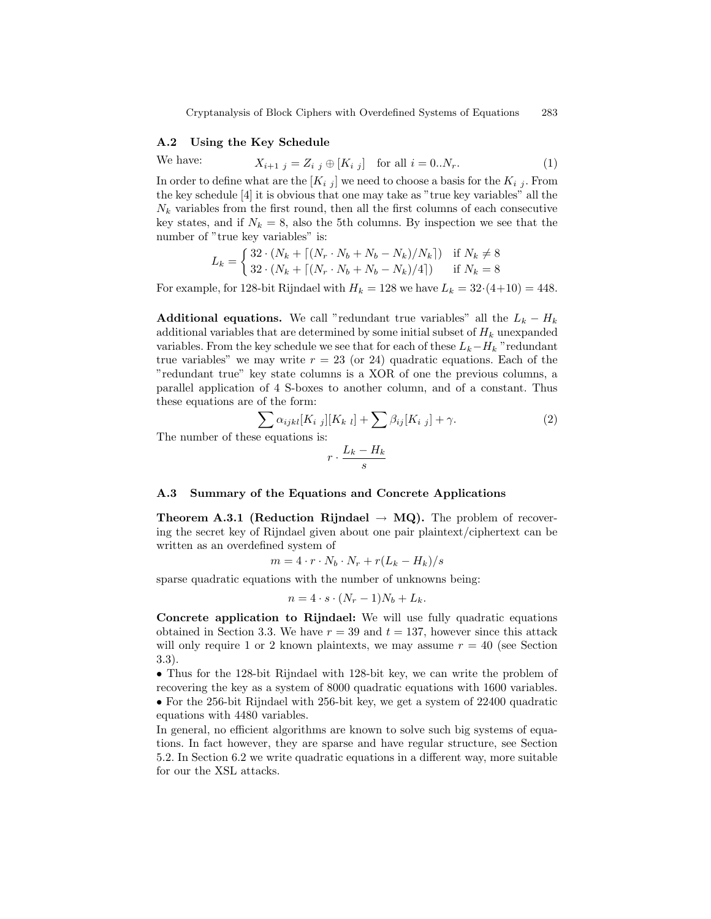Cryptanalysis of Block Ciphers with Overdefined Systems of Equations 283

#### A.2 Using the Key Schedule

We have:  $X_{i+1 j} = Z_{i j} \oplus [K_{i j}]$  for all  $i = 0..N_r$ . (1) In order to define what are the  $[K_{i,j}]$  we need to choose a basis for the  $K_{i,j}$ . From the key schedule [4] it is obvious that one may take as "true key variables" all the  $N_k$  variables from the first round, then all the first columns of each consecutive key states, and if  $N_k = 8$ , also the 5th columns. By inspection we see that the number of "true key variables" is:

$$
L_k = \begin{cases} 32 \cdot (N_k + \lceil (N_r \cdot N_b + N_b - N_k)/N_k \rceil) & \text{if } N_k \neq 8 \\ 32 \cdot (N_k + \lceil (N_r \cdot N_b + N_b - N_k)/4 \rceil) & \text{if } N_k = 8 \end{cases}
$$

For example, for 128-bit Rijndael with  $H_k = 128$  we have  $L_k = 32(4+10) = 448$ .

Additional equations. We call "redundant true variables" all the  $L_k - H_k$ additional variables that are determined by some initial subset of  $H_k$  unexpanded variables. From the key schedule we see that for each of these  $L_k-H_k$  "redundant true variables" we may write  $r = 23$  (or 24) quadratic equations. Each of the "redundant true" key state columns is a XOR of one the previous columns, a parallel application of 4 S-boxes to another column, and of a constant. Thus these equations are of the form:

$$
\sum_{\text{eigenvalues}} \alpha_{ijkl} [K_{i\ j}] [K_{k\ l}] + \sum \beta_{ij} [K_{i\ j}] + \gamma.
$$
\n(2)

The number of the

$$
r\cdot\frac{L_k-H_k}{s}
$$

#### A.3 Summary of the Equations and Concrete Applications

**Theorem A.3.1 (Reduction Rijndael**  $\rightarrow$  **MQ).** The problem of recovering the secret key of Rijndael given about one pair plaintext/ciphertext can be written as an overdefined system of

$$
m = 4 \cdot r \cdot N_b \cdot N_r + r(L_k - H_k)/s
$$

sparse quadratic equations with the number of unknowns being:

$$
n = 4 \cdot s \cdot (N_r - 1)N_b + L_k.
$$

Concrete application to Rijndael: We will use fully quadratic equations obtained in Section 3.3. We have  $r = 39$  and  $t = 137$ , however since this attack will only require 1 or 2 known plaintexts, we may assume  $r = 40$  (see Section 3.3).

• Thus for the 128-bit Rijndael with 128-bit key, we can write the problem of recovering the key as a system of 8000 quadratic equations with 1600 variables. • For the 256-bit Rijndael with 256-bit key, we get a system of 22400 quadratic equations with 4480 variables.

In general, no efficient algorithms are known to solve such big systems of equations. In fact however, they are sparse and have regular structure, see Section 5.2. In Section 6.2 we write quadratic equations in a different way, more suitable for our the XSL attacks.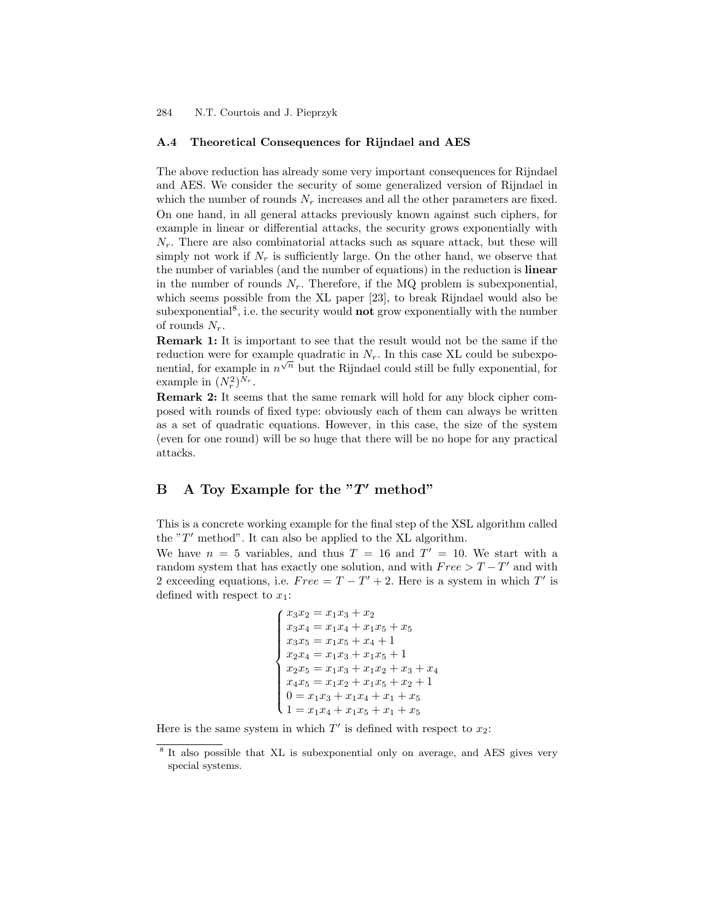### A.4 Theoretical Consequences for Rijndael and AES

The above reduction has already some very important consequences for Rijndael and AES. We consider the security of some generalized version of Rijndael in which the number of rounds  $N_r$  increases and all the other parameters are fixed. On one hand, in all general attacks previously known against such ciphers, for example in linear or differential attacks, the security grows exponentially with  $N_r$ . There are also combinatorial attacks such as square attack, but these will simply not work if  $N_r$  is sufficiently large. On the other hand, we observe that the number of variables (and the number of equations) in the reduction is linear in the number of rounds  $N_r$ . Therefore, if the MQ problem is subexponential, which seems possible from the XL paper [23], to break Rijndael would also be subexponential<sup>8</sup>, i.e. the security would **not** grow exponentially with the number of rounds  $N_r$ .

Remark 1: It is important to see that the result would not be the same if the reduction were for example quadratic in  $N_r$ . In this case XL could be subexponential, for example in  $n^{\sqrt{n}}$  but the Rijndael could still be fully exponential, for example in  $(N_r^2)^{N_r}$ .

Remark 2: It seems that the same remark will hold for any block cipher composed with rounds of fixed type: obviously each of them can always be written as a set of quadratic equations. However, in this case, the size of the system (even for one round) will be so huge that there will be no hope for any practical attacks.

# B A Toy Example for the  $T'$  method"

This is a concrete working example for the final step of the XSL algorithm called the " $T'$  method". It can also be applied to the XL algorithm.

We have  $n = 5$  variables, and thus  $T = 16$  and  $T' = 10$ . We start with a random system that has exactly one solution, and with  $Free > T - T'$  and with 2 exceeding equations, i.e.  $Free = T - T' + 2$ . Here is a system in which T' is defined with respect to  $x_1$ :

```
\sqrt{ }\begin{matrix} \phantom{-} \\ \phantom{-} \end{matrix}
   x_3x_2 = x_1x_3 + x_2x_3x_4 = x_1x_4 + x_1x_5 + x_5x_3x_5 = x_1x_5 + x_4 + 1x_2x_4 = x_1x_3 + x_1x_5 + 1x_2x_5 = x_1x_3 + x_1x_2 + x_3 + x_4x_4x_5 = x_1x_2 + x_1x_5 + x_2 + 10 = x_1x_3 + x_1x_4 + x_1 + x_51 = x_1x_4 + x_1x_5 + x_1 + x_5
```
Here is the same system in which  $T'$  is defined with respect to  $x_2$ :

<sup>&</sup>lt;sup>8</sup> It also possible that XL is subexponential only on average, and AES gives very special systems.